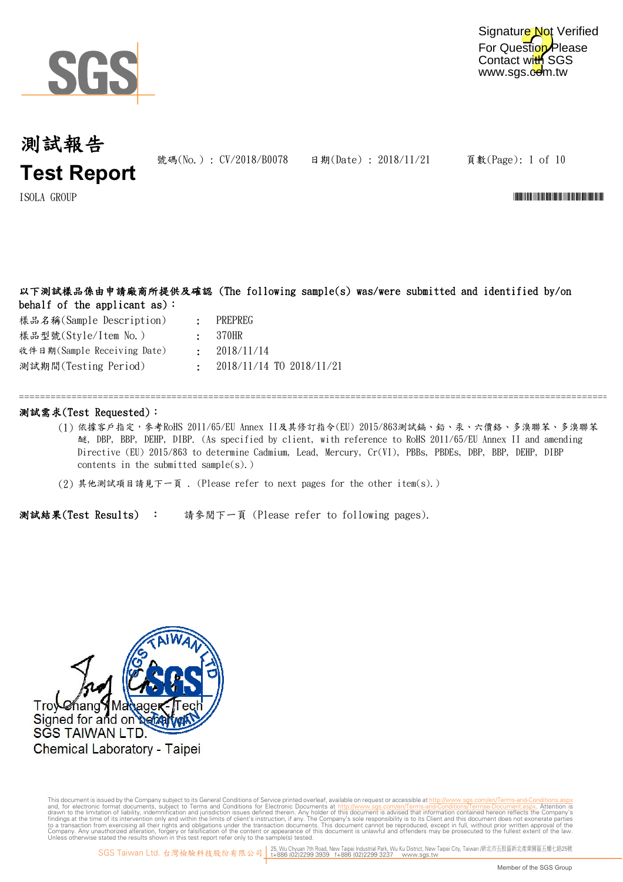

號碼(No.): CV/2018/B0078 日期(Date): 2018/11/21

頁數(Page): 1 of 10

ISOLA GROUP \*CV/2018/B0078\*

### 以下測試樣品係由申請廠商所提供及確認 (The following sample(s) was/were submitted and identified by/on behalf of the applicant as):

樣品名稱(Sample Description) 樣品型號(Style/Item No.) 測試期間(Testing Period) 收件日期(Sample Receiving Date)

- : PREPREG 370HR
- : : 2018/11/14
- : 2018/11/14 TO 2018/11/21

### 測試需求(Test Requested):

(1) 依據客戶指定,參考RoHS 2011/65/EU Annex II及其修訂指令(EU) 2015/863測試鎘、鉛、汞、六價鉻、多溴聯苯、多溴聯苯 醚, DBP, BBP, DEHP, DIBP. (As specified by client, with reference to RoHS 2011/65/EU Annex II and amending Directive (EU) 2015/863 to determine Cadmium, Lead, Mercury, Cr(VI), PBBs, PBDEs, DBP, BBP, DEHP, DIBP contents in the submitted sample $(s)$ .)

=============================================================================================================================

(2) 其他測試項目請見下一頁 . (Please refer to next pages for the other item(s).)

測試結果(Test Results) : 請參閱下一頁 (Please refer to following pages).

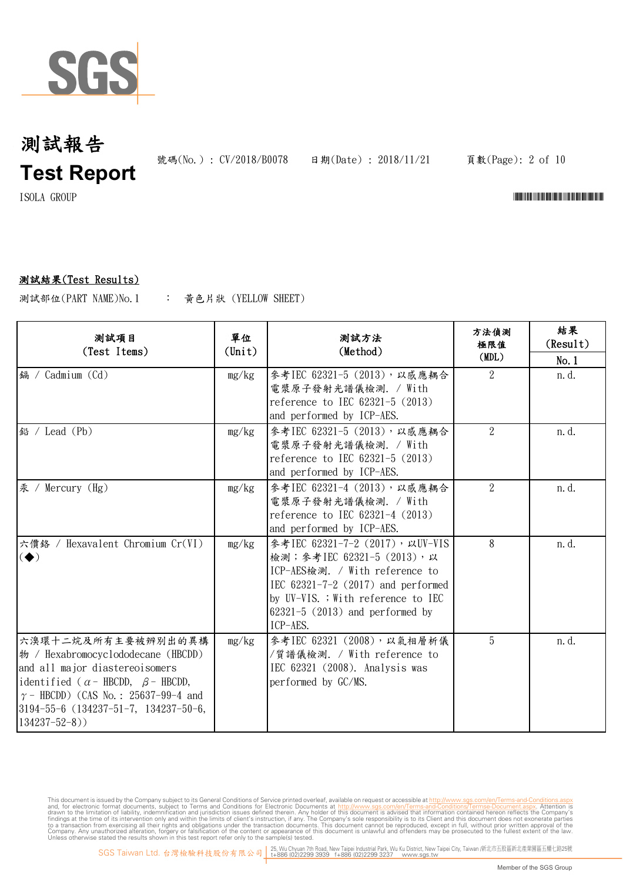

號碼(No.) : CV/2018/B0078 日期(Date) : 2018/11/21

頁數(Page): 2 of 10

 $\text{I} \text{SOLA} \quad \text{GROUP}$   $\blacksquare$ 

### 測試結果(Test Results)

: 黃色片狀 (YELLOW SHEET) 測試部位(PART NAME)No.1

| 测試項目<br>(Test Items)                                                                                                                                                                                                                                                       | 單位<br>$(\text{Unit})$ | 測試方法<br>(Method)                                                                                                                                                                                                                | 方法偵測<br>極限值<br>(MDL) | 結果<br>(Result)<br>No.1 |
|----------------------------------------------------------------------------------------------------------------------------------------------------------------------------------------------------------------------------------------------------------------------------|-----------------------|---------------------------------------------------------------------------------------------------------------------------------------------------------------------------------------------------------------------------------|----------------------|------------------------|
| 鎘 / Cadmium (Cd)                                                                                                                                                                                                                                                           | mg/kg                 | 參考IEC 62321-5 (2013), 以感應耦合<br>電漿原子發射光譜儀檢測. / With<br>reference to IEC 62321-5 (2013)<br>and performed by ICP-AES.                                                                                                              | 2                    | n.d.                   |
| 鉛 / Lead (Pb)                                                                                                                                                                                                                                                              | mg/kg                 | 參考IEC 62321-5 (2013), 以感應耦合<br>電漿原子發射光譜儀檢測. / With<br>reference to IEC 62321-5 (2013)<br>and performed by ICP-AES.                                                                                                              | $\overline{2}$       | n.d.                   |
| 汞 /<br>Mercury $(Hg)$                                                                                                                                                                                                                                                      | mg/kg                 | 參考IEC 62321-4 (2013), 以感應耦合<br>電漿原子發射光譜儀檢測. / With<br>reference to IEC 62321-4 (2013)<br>and performed by ICP-AES.                                                                                                              | $\overline{2}$       | n.d.                   |
| 六價鉻 / Hexavalent Chromium Cr(VI)<br>$\left( \blacklozenge \right)$                                                                                                                                                                                                         | mg/kg                 | 參考IEC 62321-7-2 (2017), 以UV-VIS<br>檢測; 參考IEC 62321-5 (2013), 以<br>ICP-AES檢測. / With reference to<br>IEC 62321-7-2 (2017) and performed<br>by UV-VIS. ; With reference to IEC<br>$62321 - 5$ (2013) and performed by<br>ICP-AES. | 8                    | n. d.                  |
| 六溴環十二烷及所有主要被辨別出的異構<br>$\frac{1}{2}$ / Hexabromocyclododecane (HBCDD)<br>and all major diastereoisomers<br>identified ( $\alpha$ - HBCDD, $\beta$ - HBCDD,<br>$\gamma$ – HBCDD) (CAS No.: 25637-99-4 and<br>$ 3194-55-6 \ (134237-51-7, 134237-50-6,$<br>$134237 - 52 - 8)$ | mg/kg                 | 參考IEC 62321 (2008), 以氣相層析儀<br>/質譜儀檢測. / With reference to<br>IEC 62321 (2008). Analysis was<br>performed by GC/MS.                                                                                                              | 5                    | n.d.                   |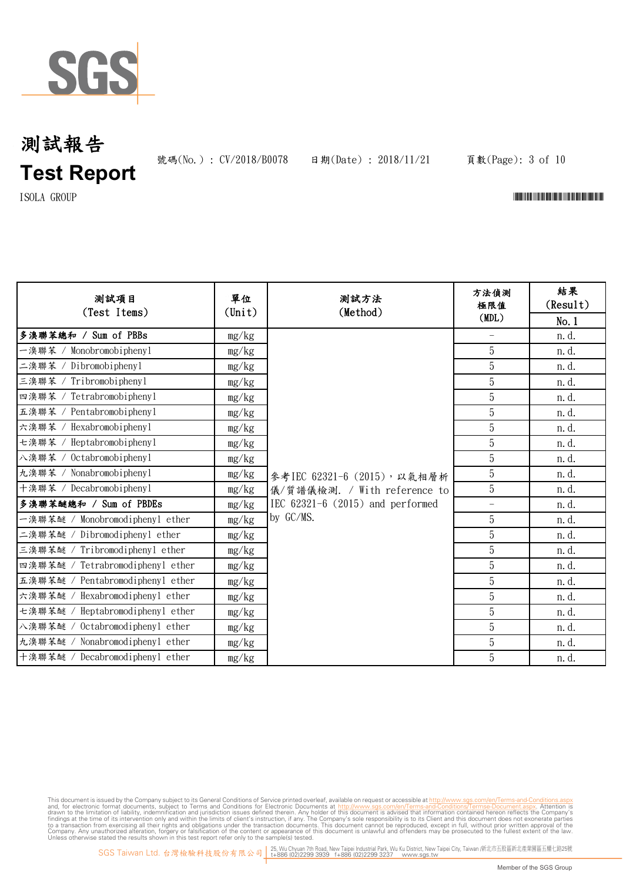

號碼(No.): CV/2018/B0078 日期(Date): 2018/11/21

頁數(Page): 3 of 10

 $\text{ISOLA}$   $\text{GROUP}$   $\blacksquare$ 

| 测試項目<br>(Test Items)             | 單位<br>$(\text{Unit})$ | 测試方法<br>(Method)                     | 方法偵測<br>極限值              | 結果<br>(Result) |
|----------------------------------|-----------------------|--------------------------------------|--------------------------|----------------|
|                                  |                       |                                      | (MDL)                    | No.1           |
| 多溴聯苯總和 / Sum of PBBs             | mg/kg                 |                                      | $\overline{\phantom{0}}$ | n.d.           |
| 一溴聯苯 / Monobromobiphenyl         | mg/kg                 |                                      | 5                        | n. d.          |
| 二溴聯苯 / Dibromobiphenyl           | mg/kg                 |                                      | $\overline{5}$           | n.d.           |
| 三溴聯苯 / Tribromobiphenyl          | mg/kg                 |                                      | $\overline{5}$           | n.d.           |
| 四溴聯苯 / Tetrabromobiphenyl        | mg/kg                 |                                      | $\overline{5}$           | n.d.           |
| 五溴聯苯 / Pentabromobiphenyl        | mg/kg                 |                                      | $\overline{5}$           | n.d.           |
| 六溴聯苯 / Hexabromobiphenyl         | mg/kg                 |                                      | $\overline{5}$           | n.d.           |
| 七溴聯苯 / Heptabromobiphenyl        | mg/kg                 |                                      | $\mathbf 5$              | n.d.           |
| 八溴聯苯 / Octabromobiphenyl         | mg/kg                 |                                      | 5                        | n.d.           |
| 九溴聯苯 / Nonabromobiphenyl         | mg/kg                 | 參考IEC 62321-6 (2015), 以氣相層析          | $\overline{5}$           | n.d.           |
| 十溴聯苯 / Decabromobiphenyl         | mg/kg                 | 儀/質譜儀檢測. / With reference to         | 5                        | n.d.           |
| 多溴聯苯醚總和 / Sum of PBDEs           | mg/kg                 | IEC $62321-6$ $(2015)$ and performed | $\overline{\phantom{a}}$ | n.d.           |
| 一溴聯苯醚 / Monobromodiphenyl ether  | mg/kg                 | by GC/MS.                            | 5                        | n.d.           |
| 二溴聯苯醚 / Dibromodiphenyl ether    | mg/kg                 |                                      | $\overline{5}$           | n.d.           |
| 三溴聯苯醚 / Tribromodiphenyl ether   | mg/kg                 |                                      | $\overline{5}$           | n.d.           |
| 四溴聯苯醚 / Tetrabromodiphenyl ether | mg/kg                 |                                      | $\overline{5}$           | n.d.           |
| 五溴聯苯醚 / Pentabromodiphenyl ether | mg/kg                 |                                      | $\overline{5}$           | n. d.          |
| 六溴聯苯醚 / Hexabromodiphenyl ether  | mg/kg                 |                                      | $\overline{5}$           | n.d.           |
| 七溴聯苯醚 / Heptabromodiphenyl ether | mg/kg                 |                                      | $\overline{5}$           | n.d.           |
| 八溴聯苯醚 / Octabromodiphenyl ether  | mg/kg                 |                                      | 5                        | n.d.           |
| 九溴聯苯醚 / Nonabromodiphenyl ether  | mg/kg                 |                                      | 5                        | n.d.           |
| 十溴聯苯醚 / Decabromodiphenyl ether  | mg/kg                 |                                      | 5                        | n.d.           |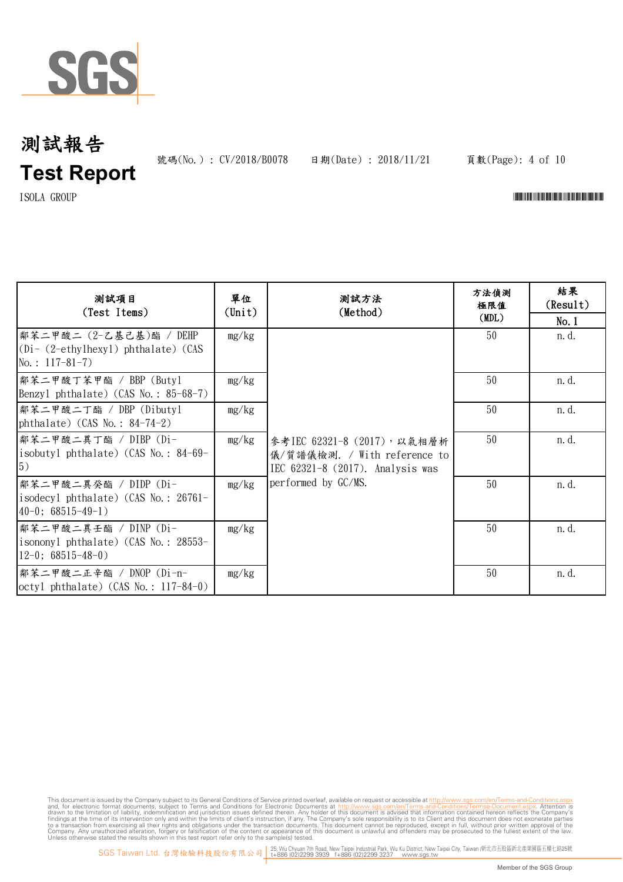

號碼(No.): CV/2018/B0078 日期(Date): 2018/11/21

### 頁數(Page): 4 of 10

 $\text{ISOLA}$   $\text{GROUP}$   $\blacksquare$ 

| 测試項目<br>(Test Items)                                                                         | 單位<br>(Unit) | 測試方法<br>(Method)                                                                                                       | 方法偵測<br>極限值<br>(MDL) | 結果<br>(Result)<br>No.1 |
|----------------------------------------------------------------------------------------------|--------------|------------------------------------------------------------------------------------------------------------------------|----------------------|------------------------|
| 鄰苯二甲酸二 (2-乙基己基)酯 / DEHP<br>$(Di - (2-\text{ethylhexyl})$ phthalate) (CAS<br>$No.: 117-81-7)$ | mg/kg        | 參考IEC 62321-8 (2017), 以氣相層析<br>儀/質譜儀檢測. / With reference to<br>IEC 62321-8 (2017). Analysis was<br>performed by GC/MS. | 50                   | n. d.                  |
| 鄰苯二甲酸丁苯甲酯 / BBP (Butyl<br>Benzyl phthalate) $(CAS No. : 85-68-7)$                            | mg/kg        |                                                                                                                        | 50                   | n. d.                  |
| 鄰苯二甲酸二丁酯 / DBP (Dibutyl<br>phthalate) $(CAS No. : 84-74-2)$                                  | mg/kg        |                                                                                                                        | 50                   | n. d.                  |
| 鄰苯二甲酸二異丁酯 / DIBP (Di-<br>isobutyl phthalate) (CAS No.: 84-69-<br>5)                          | mg/kg        |                                                                                                                        | 50                   | n. d.                  |
| 鄰苯二甲酸二異癸酯 / DIDP (Di-<br>isodecyl phthalate) (CAS No.: 26761-<br>$40-0$ ; 68515-49-1)        | mg/kg        |                                                                                                                        | 50                   | n.d.                   |
| 鄰苯二甲酸二異壬酯 / DINP (Di-<br>isononyl phthalate) (CAS No.: 28553-<br>$12-0$ ; 68515-48-0)        | mg/kg        |                                                                                                                        | 50                   | n. d.                  |
| 鄰苯二甲酸二正辛酯 / DNOP (Di-n-<br>$octyl$ phthalate) (CAS No.: 117-84-0)                            | mg/kg        |                                                                                                                        | 50                   | n.d.                   |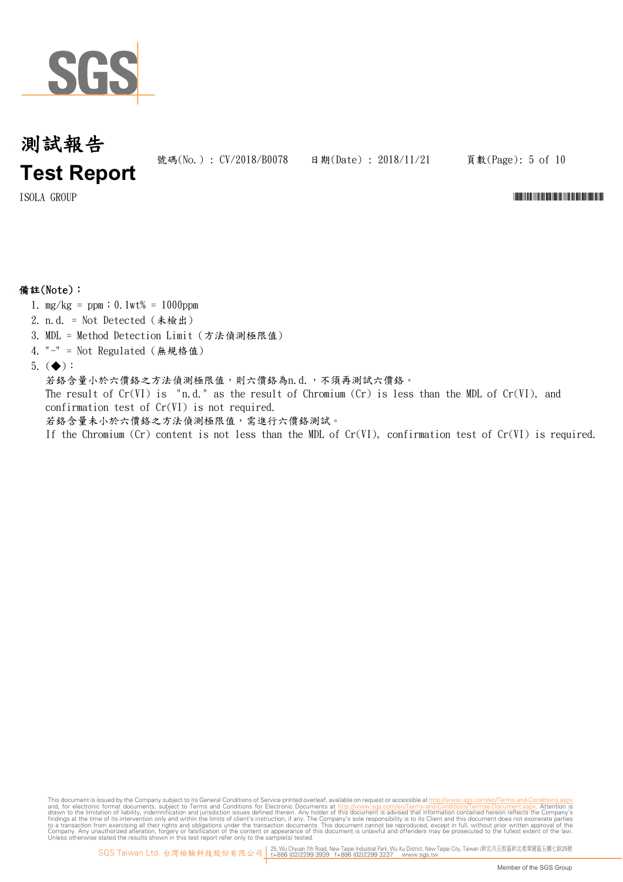

號碼(No.) : CV/2018/B0078 日期(Date) : 2018/11/21

頁數(Page): 5 of 10

#### $\text{I} \text{SOLA} \quad \text{GROUP}$  and  $\text{GROUP}$  are considered to the constant of the constant of the constant of the constant of the constant of the constant of the constant of the constant of the constant of the constant of the c

### 備註(Note):

- 1.  $mg/kg = ppm$ ; 0.1wt% = 1000ppm
- 2. n.d. = Not Detected (未檢出)
- 3. MDL = Method Detection Limit (方法偵測極限值)
- 4. "-" = Not Regulated (無規格值)
- 5.  $(\blacklozenge)$ :

若鉻含量小於六價鉻之方法偵測極限值,則六價鉻為n.d.,不須再測試六價鉻。 The result of  $Cr(VI)$  is "n.d." as the result of Chromium  $(Cr)$  is less than the MDL of  $Cr(VI)$ , and confirmation test of Cr(VI) is not required. 若鉻含量未小於六價鉻之方法偵測極限值,需進行六價鉻測試。

If the Chromium (Cr) content is not less than the MDL of Cr(VI), confirmation test of Cr(VI) is required.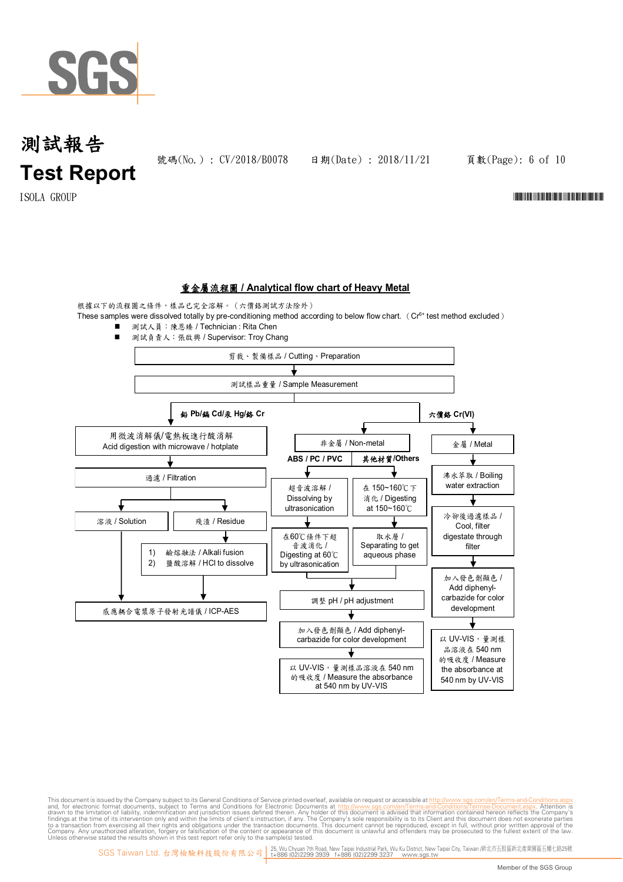

號碼(No.) : CV/2018/B0078 日期(Date) : 2018/11/21

頁數(Page): 6 of 10

 $\text{I} \text{SOLA} \quad \text{GROUP}$   $\blacksquare$ 

### 重金屬流程圖 **/ Analytical flow chart of Heavy Metal**

根據以下的流程圖之條件,樣品已完全溶解。(六價鉻測試方法除外)

These samples were dissolved totally by pre-conditioning method according to below flow chart. ( $Cr<sup>6+</sup>$  test method excluded) ■ 測試人員:陳恩臻 / Technician : Rita Chen

■ 測試負責人:張啟興 / Supervisor: Troy Chang 剪裁、製備樣品 / Cutting、Preparation 測試樣品重量 / Sample Measurement 鉛 **Pb/**鎘 **Cd/**汞 **Hg/**鉻 **Cr** 六價鉻 **Cr(VI)** 用微波消解儀/電熱板進行酸消解 非金屬 / Non-metal | | 金屬 / Metal Acid digestion with microwave / hotplate **ABS / PC / PVC** 其他材質**/Others** 過濾 / Filtration 沸水萃取 / Boiling water extraction 超音波溶解 / 在 150~160℃下 消化 / Digesting Dissolving by ultrasonication at 150~160℃ 冷卻後過濾樣品 / **溶液 / Solution** | | 残渣 / Residue Cool, filter 在60℃條件下超 取水層 / digestate through ╈ 音波消化 / Separating to get filter 1) 鹼熔融法 / Alkali fusion Digesting at 60℃ aqueous phase 2) 鹽酸溶解 / HCl to dissolve by ultrasonication 加入發色劑顯色 / Add diphenylcarbazide for color 調整 pH / pH adjustment development 感應耦合電漿原子發射光譜儀 / ICP-AES J 加入發色劑顯色 / Add diphenyl-以 UV-VIS,量測樣 carbazide for color development 品溶液在 540 nm 的吸收度 / Measure 以 UV-VIS,量測樣品溶液在 540 nm the absorbance at 的吸收度 / Measure the absorbance 540 nm by UV-VIS at 540 nm by UV-VIS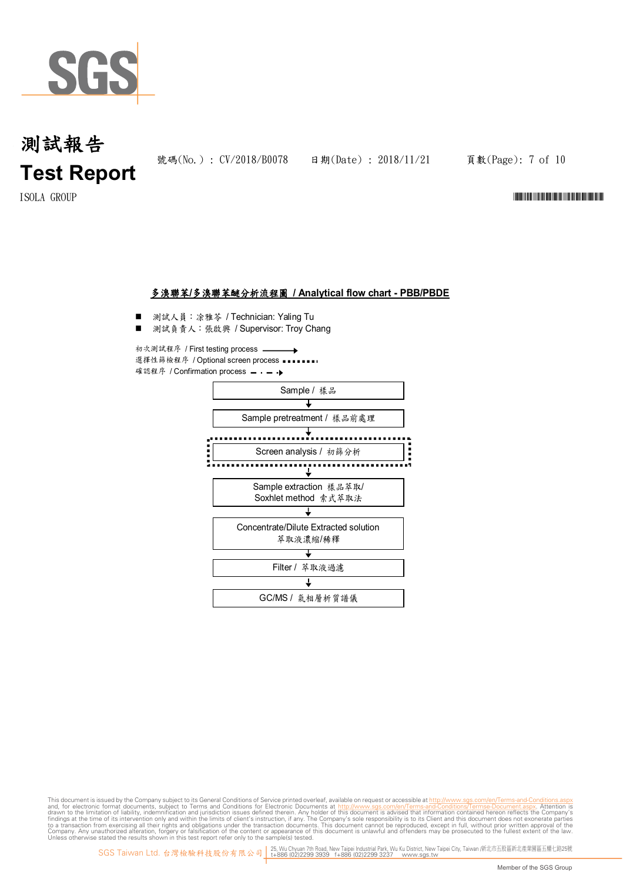

號碼(No.) : CV/2018/B0078 日期(Date) : 2018/11/21

頁數(Page): 7 of 10

 $\text{I} \text{SOLA} \quad \text{GROUP}$   $\blacksquare$ 

### 多溴聯苯**/**多溴聯苯醚分析流程圖 **/ Analytical flow chart - PBB/PBDE**

- 測試人員:涂雅苓 / Technician: Yaling Tu
- 測試負責人:張啟興 / Supervisor: Troy Chang

初次測試程序 / First testing process  $\rightarrow$ 選擇性篩檢程序 / Optional screen process •••• 確認程序 / Confirmation process - - - →

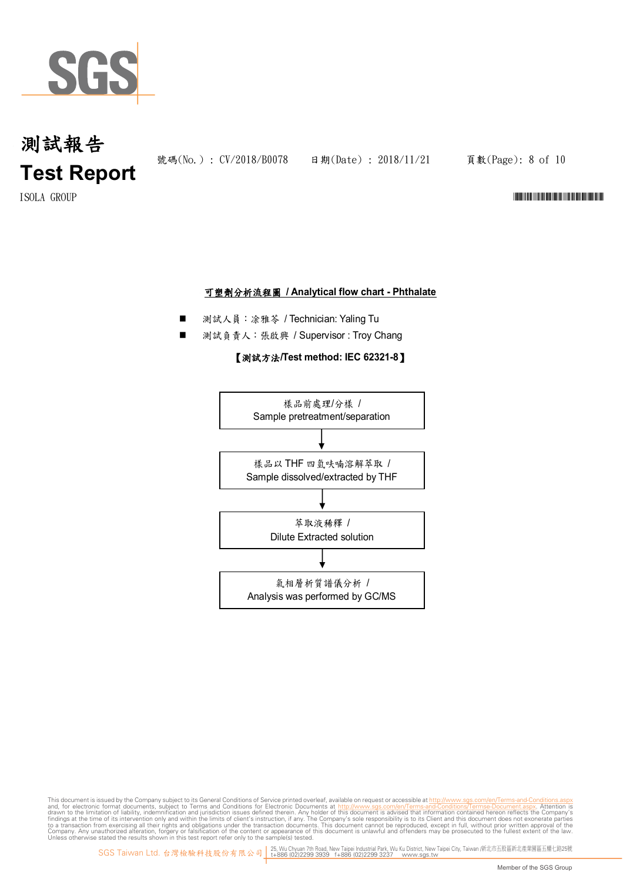

號碼(No.): CV/2018/B0078 日期(Date): 2018/11/21

頁數(Page): 8 of 10

 $\text{I} \text{SOLA} \quad \text{GROUP}$   $\blacksquare$ 

### 可塑劑分析流程圖 **/ Analytical flow chart - Phthalate**

- 測試人員:凃雅苓 / Technician: Yaling Tu
- 測試負責人:張啟興 / Supervisor : Troy Chang

#### 【測試方法**/Test method: IEC 62321-8**】

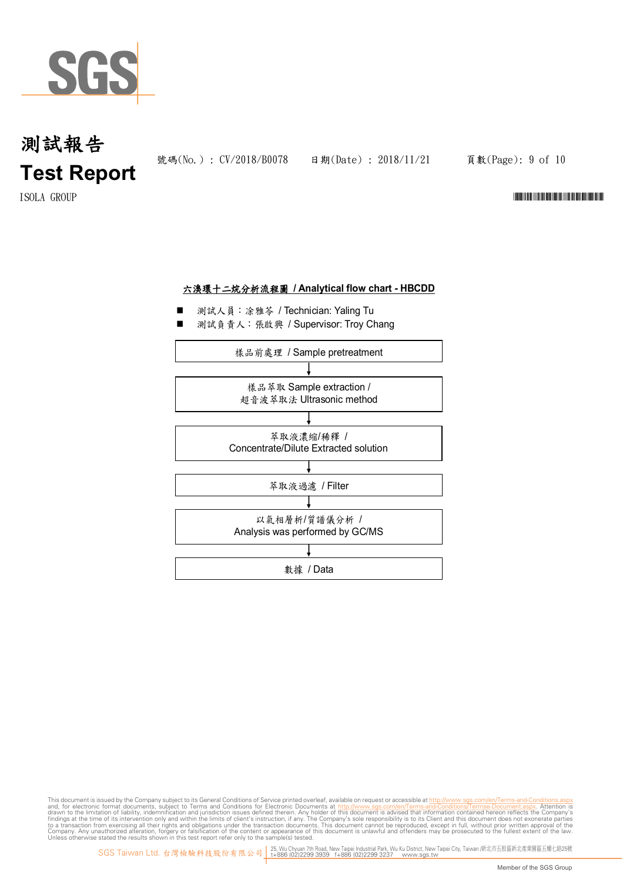

號碼(No.) : CV/2018/B0078 日期(Date) : 2018/11/21

頁數(Page): 9 of 10

#### $\text{I} \text{SOLA} \quad \text{GROUP}$   $\blacksquare$

### 六溴環十二烷分析流程圖 **/ Analytical flow chart - HBCDD**

- 測試人員:涂雅苓 / Technician: Yaling Tu
- 測試負責人:張啟興 / Supervisor: Troy Chang